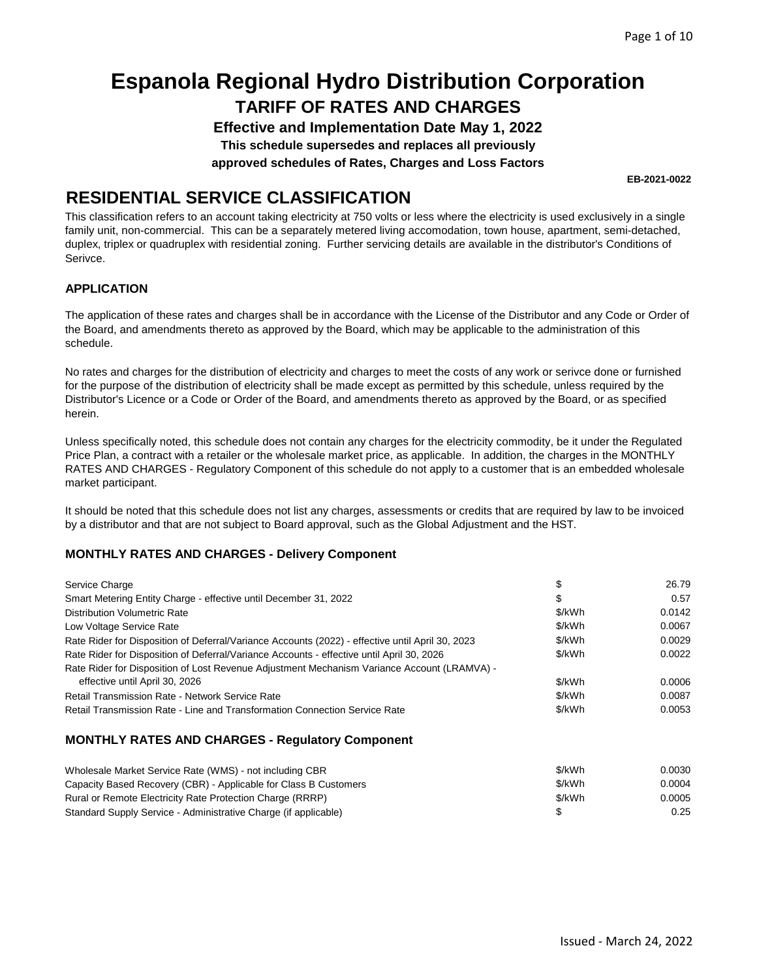**Effective and Implementation Date May 1, 2022** 

**This schedule supersedes and replaces all previously** 

**approved schedules of Rates, Charges and Loss Factors** 

**EB-2021-0022** 

### **RESIDENTIAL SERVICE CLASSIFICATION**

This classification refers to an account taking electricity at 750 volts or less where the electricity is used exclusively in a single family unit, non-commercial. This can be a separately metered living accomodation, town house, apartment, semi-detached, duplex, triplex or quadruplex with residential zoning. Further servicing details are available in the distributor's Conditions of Serivce.

### **APPLICATION**

The application of these rates and charges shall be in accordance with the License of the Distributor and any Code or Order of the Board, and amendments thereto as approved by the Board, which may be applicable to the administration of this schedule.

No rates and charges for the distribution of electricity and charges to meet the costs of any work or serivce done or furnished for the purpose of the distribution of electricity shall be made except as permitted by this schedule, unless required by the Distributor's Licence or a Code or Order of the Board, and amendments thereto as approved by the Board, or as specified herein.

Unless specifically noted, this schedule does not contain any charges for the electricity commodity, be it under the Regulated Price Plan, a contract with a retailer or the wholesale market price, as applicable. In addition, the charges in the MONTHLY RATES AND CHARGES - Regulatory Component of this schedule do not apply to a customer that is an embedded wholesale market participant.

It should be noted that this schedule does not list any charges, assessments or credits that are required by law to be invoiced by a distributor and that are not subject to Board approval, such as the Global Adjustment and the HST.

### **MONTHLY RATES AND CHARGES - Delivery Component**

| Service Charge                                                                                                                | \$     | 26.79  |
|-------------------------------------------------------------------------------------------------------------------------------|--------|--------|
| Smart Metering Entity Charge - effective until December 31, 2022                                                              | \$     | 0.57   |
| Distribution Volumetric Rate                                                                                                  | \$/kWh | 0.0142 |
| Low Voltage Service Rate                                                                                                      | \$/kWh | 0.0067 |
| Rate Rider for Disposition of Deferral/Variance Accounts (2022) - effective until April 30, 2023                              | \$/kWh | 0.0029 |
| Rate Rider for Disposition of Deferral/Variance Accounts - effective until April 30, 2026                                     | \$/kWh | 0.0022 |
| Rate Rider for Disposition of Lost Revenue Adjustment Mechanism Variance Account (LRAMVA) -<br>effective until April 30, 2026 | \$/kWh | 0.0006 |
| Retail Transmission Rate - Network Service Rate                                                                               | \$/kWh | 0.0087 |
| Retail Transmission Rate - Line and Transformation Connection Service Rate                                                    | \$/kWh | 0.0053 |
| <b>MONTHLY RATES AND CHARGES - Regulatory Component</b>                                                                       |        |        |
|                                                                                                                               |        |        |

| Wholesale Market Service Rate (WMS) - not including CBR          | \$/kWh | 0.0030 |
|------------------------------------------------------------------|--------|--------|
| Capacity Based Recovery (CBR) - Applicable for Class B Customers | \$/kWh | 0.0004 |
| Rural or Remote Electricity Rate Protection Charge (RRRP)        | \$/kWh | 0.0005 |
| Standard Supply Service - Administrative Charge (if applicable)  |        | 0.25   |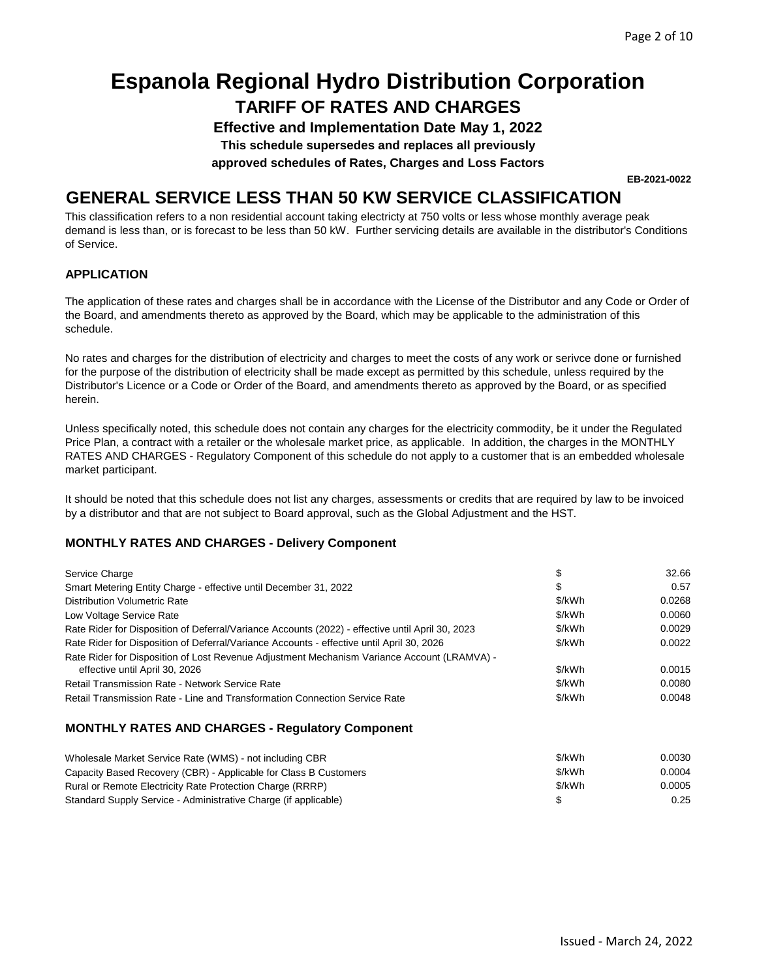## **TARIFF OF RATES AND CHARGES Espanola Regional Hydro Distribution Corporation**

**Effective and Implementation Date May 1, 2022** 

**This schedule supersedes and replaces all previously** 

**approved schedules of Rates, Charges and Loss Factors** 

### **GENERAL SERVICE LESS THAN 50 KW SERVICE CLASSIFICATION**

This classification refers to a non residential account taking electricty at 750 volts or less whose monthly average peak demand is less than, or is forecast to be less than 50 kW. Further servicing details are available in the distributor's Conditions of Service.

### **APPLICATION**

The application of these rates and charges shall be in accordance with the License of the Distributor and any Code or Order of the Board, and amendments thereto as approved by the Board, which may be applicable to the administration of this schedule.

No rates and charges for the distribution of electricity and charges to meet the costs of any work or serivce done or furnished for the purpose of the distribution of electricity shall be made except as permitted by this schedule, unless required by the Distributor's Licence or a Code or Order of the Board, and amendments thereto as approved by the Board, or as specified herein.

Unless specifically noted, this schedule does not contain any charges for the electricity commodity, be it under the Regulated Price Plan, a contract with a retailer or the wholesale market price, as applicable. In addition, the charges in the MONTHLY RATES AND CHARGES - Regulatory Component of this schedule do not apply to a customer that is an embedded wholesale market participant.

It should be noted that this schedule does not list any charges, assessments or credits that are required by law to be invoiced by a distributor and that are not subject to Board approval, such as the Global Adjustment and the HST.

### **MONTHLY RATES AND CHARGES - Delivery Component**

| Service Charge                                                                                   | \$     | 32.66  |
|--------------------------------------------------------------------------------------------------|--------|--------|
| Smart Metering Entity Charge - effective until December 31, 2022                                 | \$     | 0.57   |
| <b>Distribution Volumetric Rate</b>                                                              | \$/kWh | 0.0268 |
| Low Voltage Service Rate                                                                         | \$/kWh | 0.0060 |
| Rate Rider for Disposition of Deferral/Variance Accounts (2022) - effective until April 30, 2023 | \$/kWh | 0.0029 |
| Rate Rider for Disposition of Deferral/Variance Accounts - effective until April 30, 2026        | \$/kWh | 0.0022 |
| Rate Rider for Disposition of Lost Revenue Adjustment Mechanism Variance Account (LRAMVA) -      |        |        |
| effective until April 30, 2026                                                                   | \$/kWh | 0.0015 |
| <b>Retail Transmission Rate - Network Service Rate</b>                                           | \$/kWh | 0.0080 |
| Retail Transmission Rate - Line and Transformation Connection Service Rate                       | \$/kWh | 0.0048 |

### **MONTHLY RATES AND CHARGES - Regulatory Component**

| Wholesale Market Service Rate (WMS) - not including CBR          | \$/kWh | 0.0030 |
|------------------------------------------------------------------|--------|--------|
| Capacity Based Recovery (CBR) - Applicable for Class B Customers | \$/kWh | 0.0004 |
| Rural or Remote Electricity Rate Protection Charge (RRRP)        | \$/kWh | 0.0005 |
| Standard Supply Service - Administrative Charge (if applicable)  |        | 0.25   |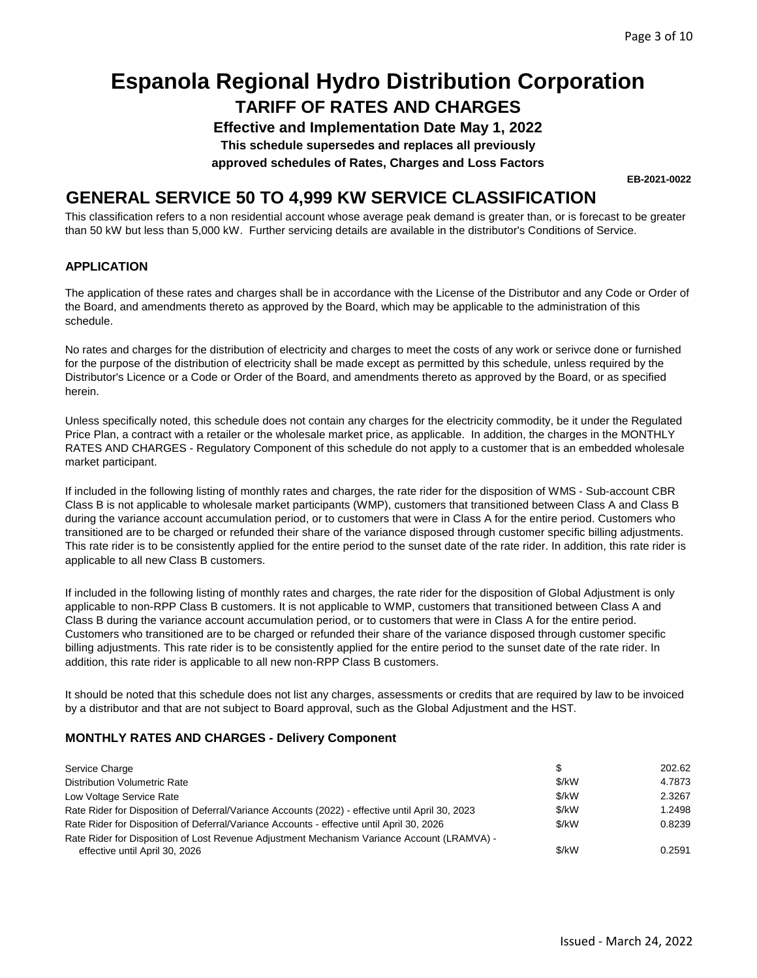**Effective and Implementation Date May 1, 2022** 

**This schedule supersedes and replaces all previously** 

**approved schedules of Rates, Charges and Loss Factors** 

**EB-2021-0022** 

### **GENERAL SERVICE 50 TO 4,999 KW SERVICE CLASSIFICATION**

This classification refers to a non residential account whose average peak demand is greater than, or is forecast to be greater than 50 kW but less than 5,000 kW. Further servicing details are available in the distributor's Conditions of Service.

#### **APPLICATION**

The application of these rates and charges shall be in accordance with the License of the Distributor and any Code or Order of the Board, and amendments thereto as approved by the Board, which may be applicable to the administration of this schedule.

No rates and charges for the distribution of electricity and charges to meet the costs of any work or serivce done or furnished for the purpose of the distribution of electricity shall be made except as permitted by this schedule, unless required by the Distributor's Licence or a Code or Order of the Board, and amendments thereto as approved by the Board, or as specified herein.

Unless specifically noted, this schedule does not contain any charges for the electricity commodity, be it under the Regulated Price Plan, a contract with a retailer or the wholesale market price, as applicable. In addition, the charges in the MONTHLY RATES AND CHARGES - Regulatory Component of this schedule do not apply to a customer that is an embedded wholesale market participant.

If included in the following listing of monthly rates and charges, the rate rider for the disposition of WMS - Sub-account CBR Class B is not applicable to wholesale market participants (WMP), customers that transitioned between Class A and Class B during the variance account accumulation period, or to customers that were in Class A for the entire period. Customers who transitioned are to be charged or refunded their share of the variance disposed through customer specific billing adjustments. This rate rider is to be consistently applied for the entire period to the sunset date of the rate rider. In addition, this rate rider is applicable to all new Class B customers.

If included in the following listing of monthly rates and charges, the rate rider for the disposition of Global Adjustment is only applicable to non-RPP Class B customers. It is not applicable to WMP, customers that transitioned between Class A and Class B during the variance account accumulation period, or to customers that were in Class A for the entire period. Customers who transitioned are to be charged or refunded their share of the variance disposed through customer specific billing adjustments. This rate rider is to be consistently applied for the entire period to the sunset date of the rate rider. In addition, this rate rider is applicable to all new non-RPP Class B customers.

It should be noted that this schedule does not list any charges, assessments or credits that are required by law to be invoiced by a distributor and that are not subject to Board approval, such as the Global Adjustment and the HST.

### **MONTHLY RATES AND CHARGES - Delivery Component**

| Service Charge                                                                                   | \$.     | 202.62 |
|--------------------------------------------------------------------------------------------------|---------|--------|
| <b>Distribution Volumetric Rate</b>                                                              | \$/kW   | 4.7873 |
| Low Voltage Service Rate                                                                         | \$/kW   | 2.3267 |
| Rate Rider for Disposition of Deferral/Variance Accounts (2022) - effective until April 30, 2023 | \$/kW   | 1.2498 |
| Rate Rider for Disposition of Deferral/Variance Accounts - effective until April 30, 2026        | $$$ /kW | 0.8239 |
| Rate Rider for Disposition of Lost Revenue Adjustment Mechanism Variance Account (LRAMVA) -      |         |        |
| effective until April 30, 2026                                                                   | \$/kW   | 0.2591 |
|                                                                                                  |         |        |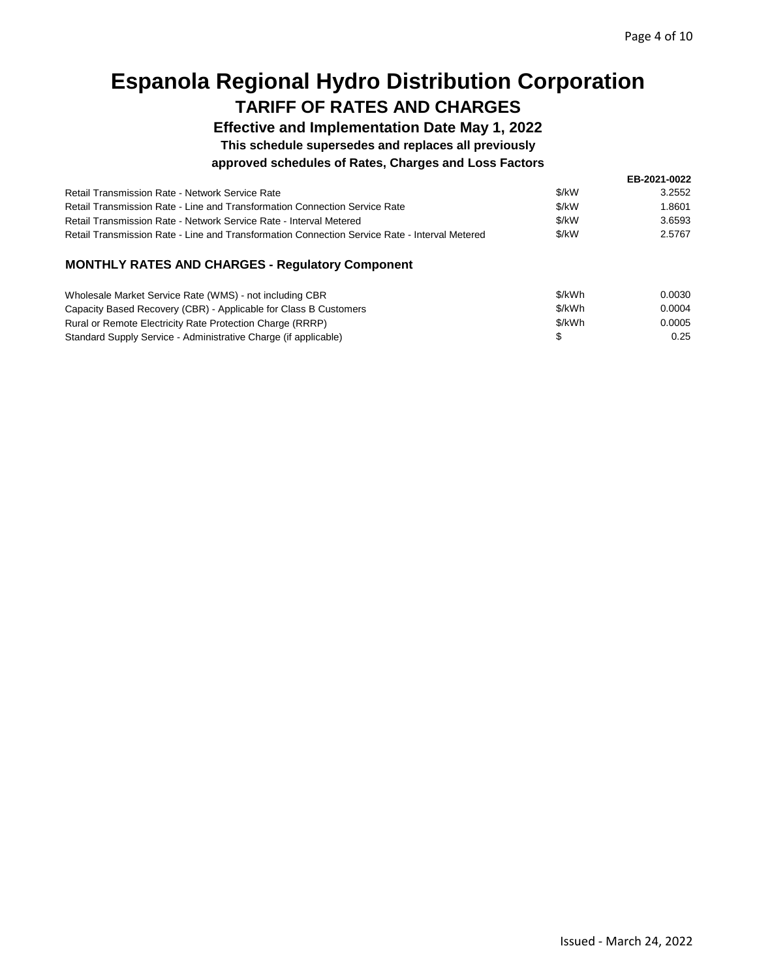**Effective and Implementation Date May 1, 2022** 

**This schedule supersedes and replaces all previously** 

### **approved schedules of Rates, Charges and Loss Factors**

|                                                                                               |       | EB-2021-0022 |
|-----------------------------------------------------------------------------------------------|-------|--------------|
| Retail Transmission Rate - Network Service Rate                                               | \$/kW | 3.2552       |
| Retail Transmission Rate - Line and Transformation Connection Service Rate                    | \$/kW | 1.8601       |
| Retail Transmission Rate - Network Service Rate - Interval Metered                            | \$/kW | 3.6593       |
| Retail Transmission Rate - Line and Transformation Connection Service Rate - Interval Metered | \$/kW | 2.5767       |
| <b>MONTHLY RATES AND CHARGES - Regulatory Component</b>                                       |       |              |

| Wholesale Market Service Rate (WMS) - not including CBR          | \$/kWh | 0.0030 |
|------------------------------------------------------------------|--------|--------|
| Capacity Based Recovery (CBR) - Applicable for Class B Customers | \$/kWh | 0.0004 |
| Rural or Remote Electricity Rate Protection Charge (RRRP)        | \$/kWh | 0.0005 |
| Standard Supply Service - Administrative Charge (if applicable)  |        | 0.25   |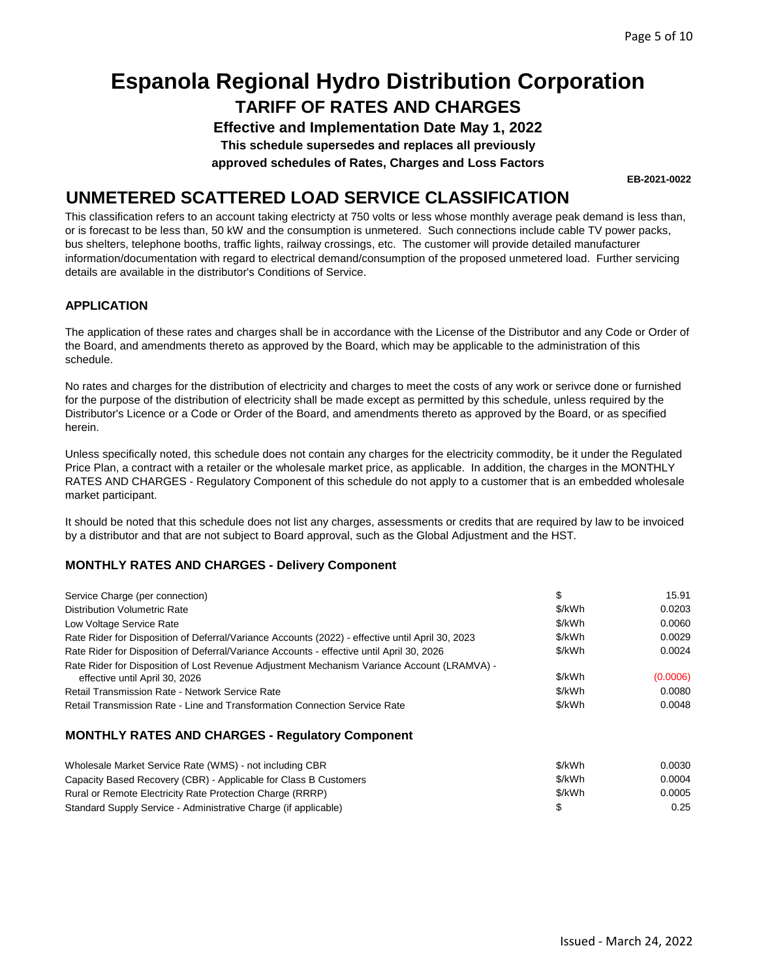## **TARIFF OF RATES AND CHARGES Espanola Regional Hydro Distribution Corporation**

**Effective and Implementation Date May 1, 2022** 

**This schedule supersedes and replaces all previously** 

**approved schedules of Rates, Charges and Loss Factors** 

### **UNMETERED SCATTERED LOAD SERVICE CLASSIFICATION**

This classification refers to an account taking electricty at 750 volts or less whose monthly average peak demand is less than, or is forecast to be less than, 50 kW and the consumption is unmetered. Such connections include cable TV power packs, bus shelters, telephone booths, traffic lights, railway crossings, etc. The customer will provide detailed manufacturer information/documentation with regard to electrical demand/consumption of the proposed unmetered load. Further servicing details are available in the distributor's Conditions of Service.

### **APPLICATION**

The application of these rates and charges shall be in accordance with the License of the Distributor and any Code or Order of the Board, and amendments thereto as approved by the Board, which may be applicable to the administration of this schedule.

No rates and charges for the distribution of electricity and charges to meet the costs of any work or serivce done or furnished for the purpose of the distribution of electricity shall be made except as permitted by this schedule, unless required by the Distributor's Licence or a Code or Order of the Board, and amendments thereto as approved by the Board, or as specified herein.

Unless specifically noted, this schedule does not contain any charges for the electricity commodity, be it under the Regulated Price Plan, a contract with a retailer or the wholesale market price, as applicable. In addition, the charges in the MONTHLY RATES AND CHARGES - Regulatory Component of this schedule do not apply to a customer that is an embedded wholesale market participant.

It should be noted that this schedule does not list any charges, assessments or credits that are required by law to be invoiced by a distributor and that are not subject to Board approval, such as the Global Adjustment and the HST.

### **MONTHLY RATES AND CHARGES - Delivery Component**

| Service Charge (per connection)                                                                  | \$     | 15.91    |
|--------------------------------------------------------------------------------------------------|--------|----------|
| Distribution Volumetric Rate                                                                     | \$/kWh | 0.0203   |
| Low Voltage Service Rate                                                                         | \$/kWh | 0.0060   |
| Rate Rider for Disposition of Deferral/Variance Accounts (2022) - effective until April 30, 2023 | \$/kWh | 0.0029   |
| Rate Rider for Disposition of Deferral/Variance Accounts - effective until April 30, 2026        | \$/kWh | 0.0024   |
| Rate Rider for Disposition of Lost Revenue Adjustment Mechanism Variance Account (LRAMVA) -      |        |          |
| effective until April 30, 2026                                                                   | \$/kWh | (0.0006) |
| <b>Retail Transmission Rate - Network Service Rate</b>                                           | \$/kWh | 0.0080   |
| Retail Transmission Rate - Line and Transformation Connection Service Rate                       | \$/kWh | 0.0048   |
| <b>MONTHLY RATES AND CHARGES - Regulatory Component</b>                                          |        |          |
| Wholesale Market Service Rate (WMS) - not including CBR                                          | \$/kWh | 0.0030   |
| Capacity Based Recovery (CBR) - Applicable for Class B Customers                                 | \$/kWh | 0.0004   |
| Rural or Remote Electricity Rate Protection Charge (RRRP)                                        | \$/kWh | 0.0005   |

Standard Supply Service - Administrative Charge (if applicable) \$ 0.25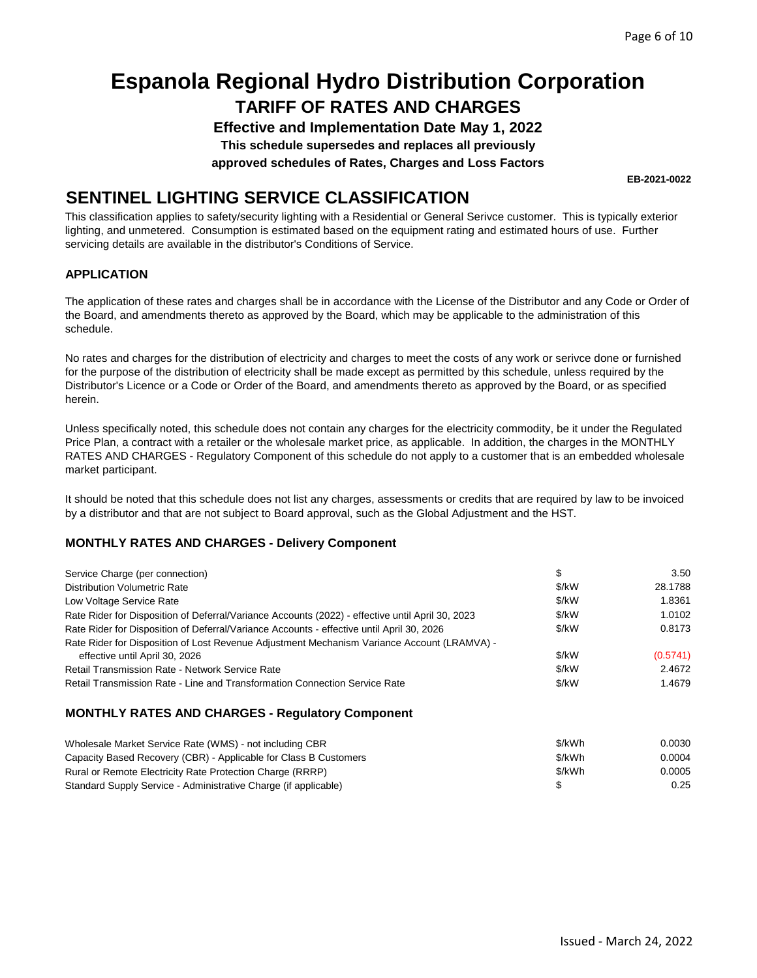## **TARIFF OF RATES AND CHARGES Espanola Regional Hydro Distribution Corporation**

**Effective and Implementation Date May 1, 2022** 

**This schedule supersedes and replaces all previously** 

**approved schedules of Rates, Charges and Loss Factors** 

### **SENTINEL LIGHTING SERVICE CLASSIFICATION**

This classification applies to safety/security lighting with a Residential or General Serivce customer. This is typically exterior lighting, and unmetered. Consumption is estimated based on the equipment rating and estimated hours of use. Further servicing details are available in the distributor's Conditions of Service.

### **APPLICATION**

The application of these rates and charges shall be in accordance with the License of the Distributor and any Code or Order of the Board, and amendments thereto as approved by the Board, which may be applicable to the administration of this schedule.

No rates and charges for the distribution of electricity and charges to meet the costs of any work or serivce done or furnished for the purpose of the distribution of electricity shall be made except as permitted by this schedule, unless required by the Distributor's Licence or a Code or Order of the Board, and amendments thereto as approved by the Board, or as specified herein.

Unless specifically noted, this schedule does not contain any charges for the electricity commodity, be it under the Regulated Price Plan, a contract with a retailer or the wholesale market price, as applicable. In addition, the charges in the MONTHLY RATES AND CHARGES - Regulatory Component of this schedule do not apply to a customer that is an embedded wholesale market participant.

It should be noted that this schedule does not list any charges, assessments or credits that are required by law to be invoiced by a distributor and that are not subject to Board approval, such as the Global Adjustment and the HST.

### **MONTHLY RATES AND CHARGES - Delivery Component**

| Service Charge (per connection)                                                                  | S     | 3.50     |
|--------------------------------------------------------------------------------------------------|-------|----------|
| <b>Distribution Volumetric Rate</b>                                                              | \$/kW | 28.1788  |
| Low Voltage Service Rate                                                                         | \$/kW | 1.8361   |
| Rate Rider for Disposition of Deferral/Variance Accounts (2022) - effective until April 30, 2023 | \$/kW | 1.0102   |
| Rate Rider for Disposition of Deferral/Variance Accounts - effective until April 30, 2026        | \$/kW | 0.8173   |
| Rate Rider for Disposition of Lost Revenue Adjustment Mechanism Variance Account (LRAMVA) -      |       |          |
| effective until April 30, 2026                                                                   | \$/kW | (0.5741) |
| <b>Retail Transmission Rate - Network Service Rate</b>                                           | \$/kW | 2.4672   |
| Retail Transmission Rate - Line and Transformation Connection Service Rate                       | \$/kW | 1.4679   |

#### **MONTHLY RATES AND CHARGES - Regulatory Component**

| Wholesale Market Service Rate (WMS) - not including CBR          | \$/kWh | 0.0030 |
|------------------------------------------------------------------|--------|--------|
| Capacity Based Recovery (CBR) - Applicable for Class B Customers | \$/kWh | 0.0004 |
| Rural or Remote Electricity Rate Protection Charge (RRRP)        | \$/kWh | 0.0005 |
| Standard Supply Service - Administrative Charge (if applicable)  |        | 0.25   |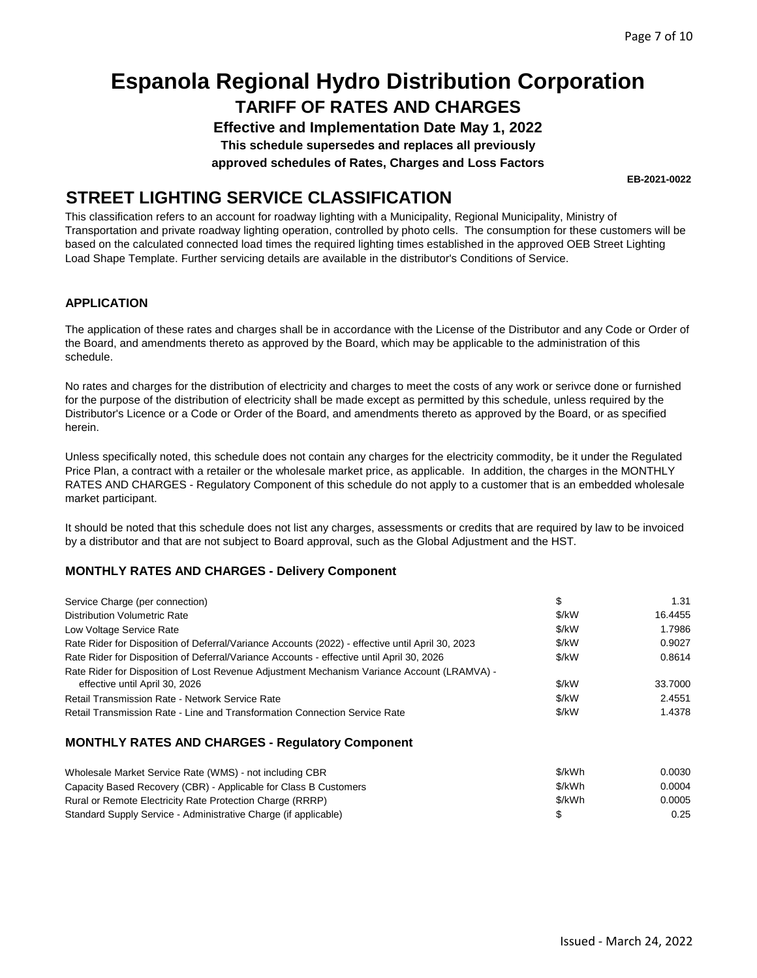## **TARIFF OF RATES AND CHARGES Espanola Regional Hydro Distribution Corporation**

**Effective and Implementation Date May 1, 2022** 

**This schedule supersedes and replaces all previously** 

**approved schedules of Rates, Charges and Loss Factors** 

**STREET LIGHTING SERVICE CLASSIFICATION** 

This classification refers to an account for roadway lighting with a Municipality, Regional Municipality, Ministry of Transportation and private roadway lighting operation, controlled by photo cells. The consumption for these customers will be based on the calculated connected load times the required lighting times established in the approved OEB Street Lighting Load Shape Template. Further servicing details are available in the distributor's Conditions of Service.

### **APPLICATION**

The application of these rates and charges shall be in accordance with the License of the Distributor and any Code or Order of the Board, and amendments thereto as approved by the Board, which may be applicable to the administration of this schedule.

No rates and charges for the distribution of electricity and charges to meet the costs of any work or serivce done or furnished for the purpose of the distribution of electricity shall be made except as permitted by this schedule, unless required by the Distributor's Licence or a Code or Order of the Board, and amendments thereto as approved by the Board, or as specified herein.

Unless specifically noted, this schedule does not contain any charges for the electricity commodity, be it under the Regulated Price Plan, a contract with a retailer or the wholesale market price, as applicable. In addition, the charges in the MONTHLY RATES AND CHARGES - Regulatory Component of this schedule do not apply to a customer that is an embedded wholesale market participant.

It should be noted that this schedule does not list any charges, assessments or credits that are required by law to be invoiced by a distributor and that are not subject to Board approval, such as the Global Adjustment and the HST.

### **MONTHLY RATES AND CHARGES - Delivery Component**

| Service Charge (per connection)                                                                                               | \$    | 1.31    |
|-------------------------------------------------------------------------------------------------------------------------------|-------|---------|
| Distribution Volumetric Rate                                                                                                  | \$/kW | 16.4455 |
| Low Voltage Service Rate                                                                                                      | \$/kW | 1.7986  |
| Rate Rider for Disposition of Deferral/Variance Accounts (2022) - effective until April 30, 2023                              | \$/kW | 0.9027  |
| Rate Rider for Disposition of Deferral/Variance Accounts - effective until April 30, 2026                                     | \$/kW | 0.8614  |
| Rate Rider for Disposition of Lost Revenue Adjustment Mechanism Variance Account (LRAMVA) -<br>effective until April 30, 2026 | \$/kW | 33.7000 |
| Retail Transmission Rate - Network Service Rate                                                                               | \$/kW | 2.4551  |
| Retail Transmission Rate - Line and Transformation Connection Service Rate                                                    | \$/kW | 1.4378  |
| <b>MONTHLY RATES AND CHARGES - Regulatory Component</b>                                                                       |       |         |

| Wholesale Market Service Rate (WMS) - not including CBR          | \$/kWh | 0.0030 |
|------------------------------------------------------------------|--------|--------|
| Capacity Based Recovery (CBR) - Applicable for Class B Customers | \$/kWh | 0.0004 |
| Rural or Remote Electricity Rate Protection Charge (RRRP)        | \$/kWh | 0.0005 |
| Standard Supply Service - Administrative Charge (if applicable)  |        | 0.25   |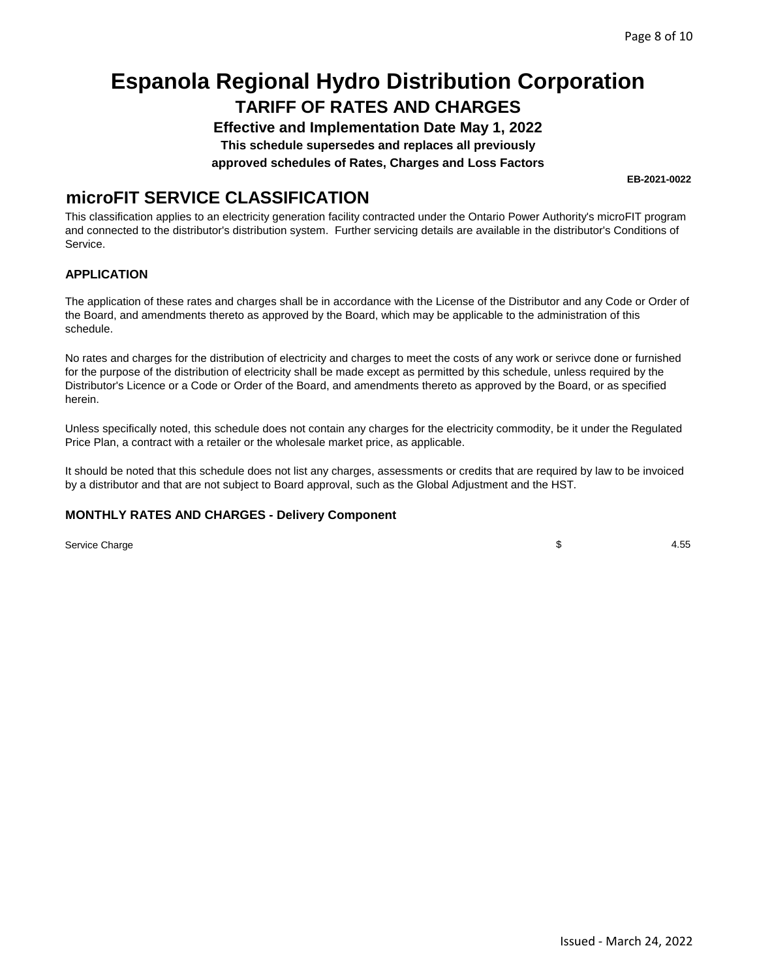# **TARIFF OF RATES AND CHARGES Espanola Regional Hydro Distribution Corporation**

**Effective and Implementation Date May 1, 2022** 

**This schedule supersedes and replaces all previously** 

**approved schedules of Rates, Charges and Loss Factors** 

### **microFIT SERVICE CLASSIFICATION**

This classification applies to an electricity generation facility contracted under the Ontario Power Authority's microFIT program and connected to the distributor's distribution system. Further servicing details are available in the distributor's Conditions of Service.

### **APPLICATION**

The application of these rates and charges shall be in accordance with the License of the Distributor and any Code or Order of the Board, and amendments thereto as approved by the Board, which may be applicable to the administration of this schedule.

No rates and charges for the distribution of electricity and charges to meet the costs of any work or serivce done or furnished for the purpose of the distribution of electricity shall be made except as permitted by this schedule, unless required by the Distributor's Licence or a Code or Order of the Board, and amendments thereto as approved by the Board, or as specified herein.

Unless specifically noted, this schedule does not contain any charges for the electricity commodity, be it under the Regulated Price Plan, a contract with a retailer or the wholesale market price, as applicable.

It should be noted that this schedule does not list any charges, assessments or credits that are required by law to be invoiced by a distributor and that are not subject to Board approval, such as the Global Adjustment and the HST.

### **MONTHLY RATES AND CHARGES - Delivery Component**

Service Charge \$ 4.55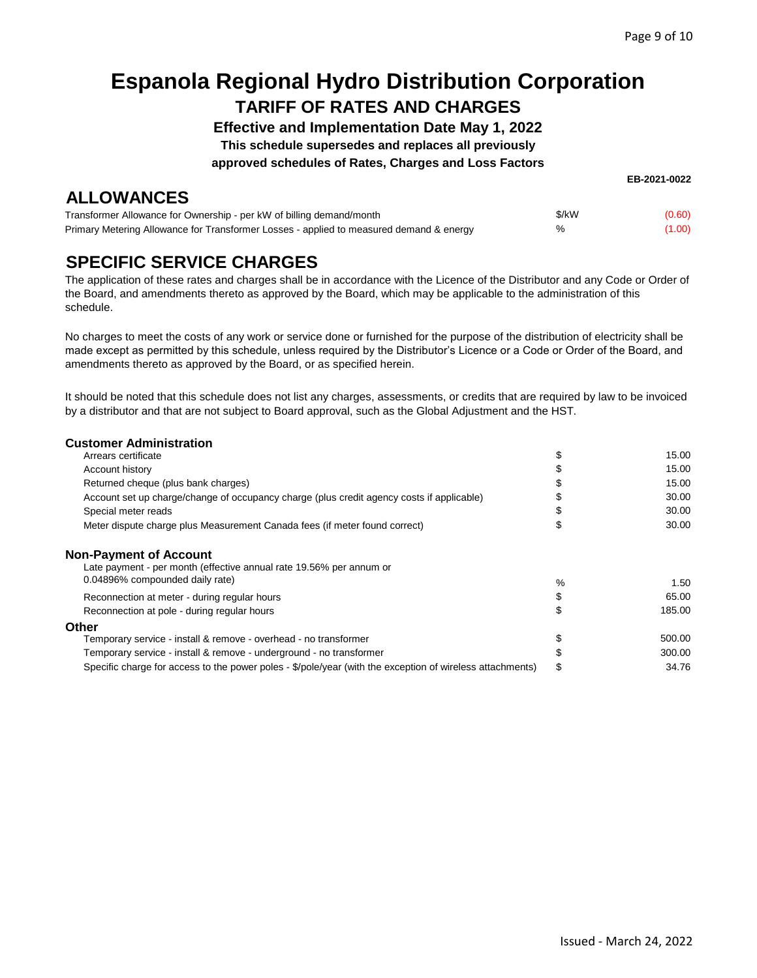# **TARIFF OF RATES AND CHARGES Espanola Regional Hydro Distribution Corporation**

**Effective and Implementation Date May 1, 2022** 

**This schedule supersedes and replaces all previously** 

**approved schedules of Rates, Charges and Loss Factors** 

| <b>ALLOWANCES</b>                                                                       |       |        |
|-----------------------------------------------------------------------------------------|-------|--------|
| Transformer Allowance for Ownership - per kW of billing demand/month                    | \$/kW | (0.60) |
| Primary Metering Allowance for Transformer Losses - applied to measured demand & energy | $\%$  | (1.00) |

### **SPECIFIC SERVICE CHARGES**

The application of these rates and charges shall be in accordance with the Licence of the Distributor and any Code or Order of the Board, and amendments thereto as approved by the Board, which may be applicable to the administration of this schedule.

No charges to meet the costs of any work or service done or furnished for the purpose of the distribution of electricity shall be made except as permitted by this schedule, unless required by the Distributor's Licence or a Code or Order of the Board, and amendments thereto as approved by the Board, or as specified herein.

It should be noted that this schedule does not list any charges, assessments, or credits that are required by law to be invoiced by a distributor and that are not subject to Board approval, such as the Global Adjustment and the HST.

| <b>Customer Administration</b>                                                                                                          |      |        |
|-----------------------------------------------------------------------------------------------------------------------------------------|------|--------|
| Arrears certificate                                                                                                                     | \$   | 15.00  |
| Account history                                                                                                                         | \$   | 15.00  |
| Returned cheque (plus bank charges)                                                                                                     | \$   | 15.00  |
| Account set up charge/change of occupancy charge (plus credit agency costs if applicable)                                               |      | 30.00  |
| Special meter reads                                                                                                                     |      | 30.00  |
| Meter dispute charge plus Measurement Canada fees (if meter found correct)                                                              | \$   | 30.00  |
| <b>Non-Payment of Account</b><br>Late payment - per month (effective annual rate 19.56% per annum or<br>0.04896% compounded daily rate) | $\%$ | 1.50   |
| Reconnection at meter - during regular hours                                                                                            | \$   | 65.00  |
|                                                                                                                                         | \$   | 185.00 |
| Reconnection at pole - during regular hours                                                                                             |      |        |
| Other                                                                                                                                   |      | 500.00 |
| Temporary service - install & remove - overhead - no transformer                                                                        | \$   |        |
| Temporary service - install & remove - underground - no transformer                                                                     | \$   | 300.00 |
| Specific charge for access to the power poles - \$/pole/year (with the exception of wireless attachments)                               | \$   | 34.76  |